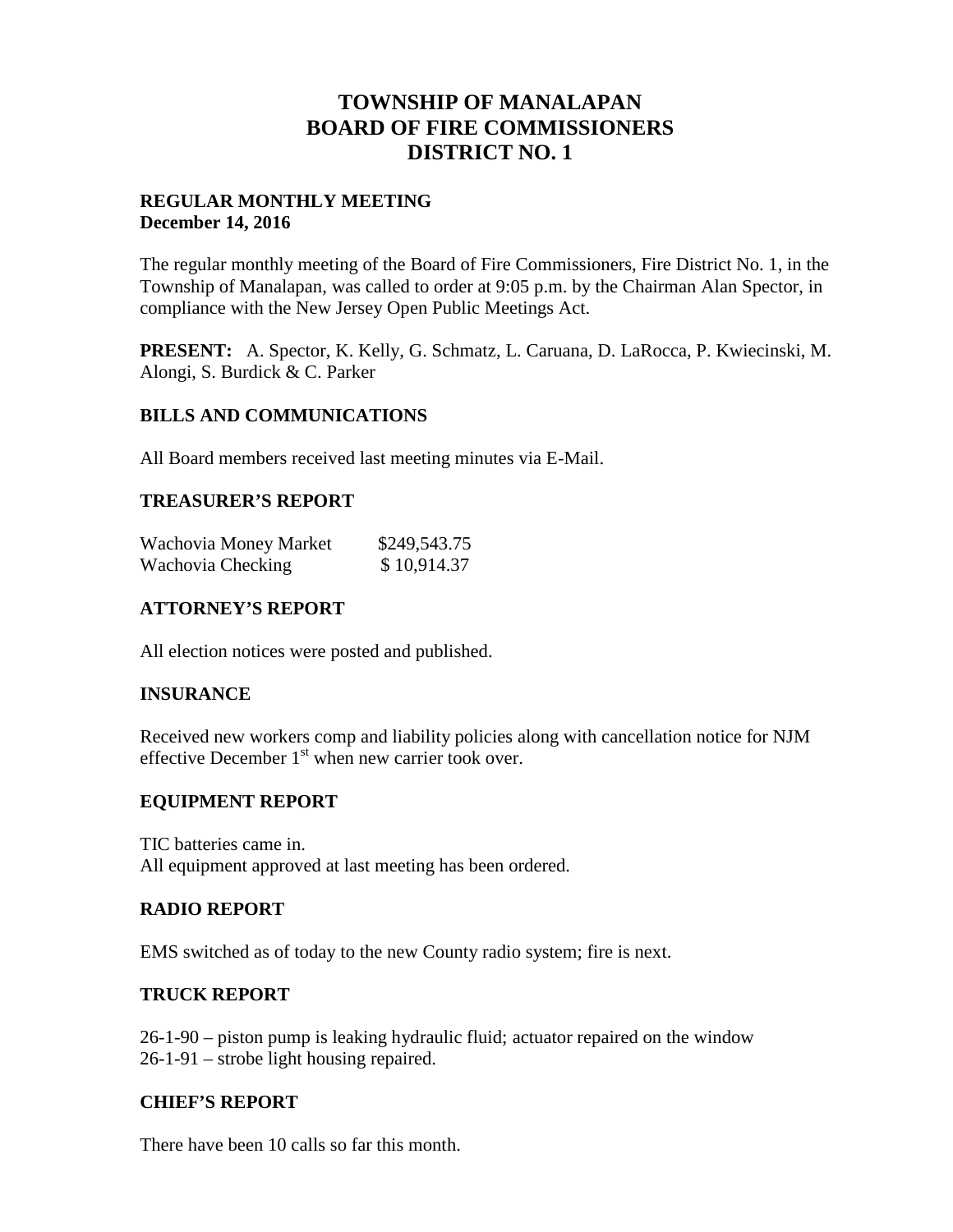# **TOWNSHIP OF MANALAPAN BOARD OF FIRE COMMISSIONERS DISTRICT NO. 1**

# **REGULAR MONTHLY MEETING December 14, 2016**

The regular monthly meeting of the Board of Fire Commissioners, Fire District No. 1, in the Township of Manalapan, was called to order at 9:05 p.m. by the Chairman Alan Spector, in compliance with the New Jersey Open Public Meetings Act.

**PRESENT:** A. Spector, K. Kelly, G. Schmatz, L. Caruana, D. LaRocca, P. Kwiecinski, M. Alongi, S. Burdick & C. Parker

# **BILLS AND COMMUNICATIONS**

All Board members received last meeting minutes via E-Mail.

#### **TREASURER'S REPORT**

| Wachovia Money Market | \$249,543.75 |  |
|-----------------------|--------------|--|
| Wachovia Checking     | \$10,914.37  |  |

# **ATTORNEY'S REPORT**

All election notices were posted and published.

#### **INSURANCE**

Received new workers comp and liability policies along with cancellation notice for NJM effective December  $1<sup>st</sup>$  when new carrier took over.

#### **EQUIPMENT REPORT**

TIC batteries came in. All equipment approved at last meeting has been ordered.

#### **RADIO REPORT**

EMS switched as of today to the new County radio system; fire is next.

#### **TRUCK REPORT**

26-1-90 – piston pump is leaking hydraulic fluid; actuator repaired on the window 26-1-91 – strobe light housing repaired.

#### **CHIEF'S REPORT**

There have been 10 calls so far this month.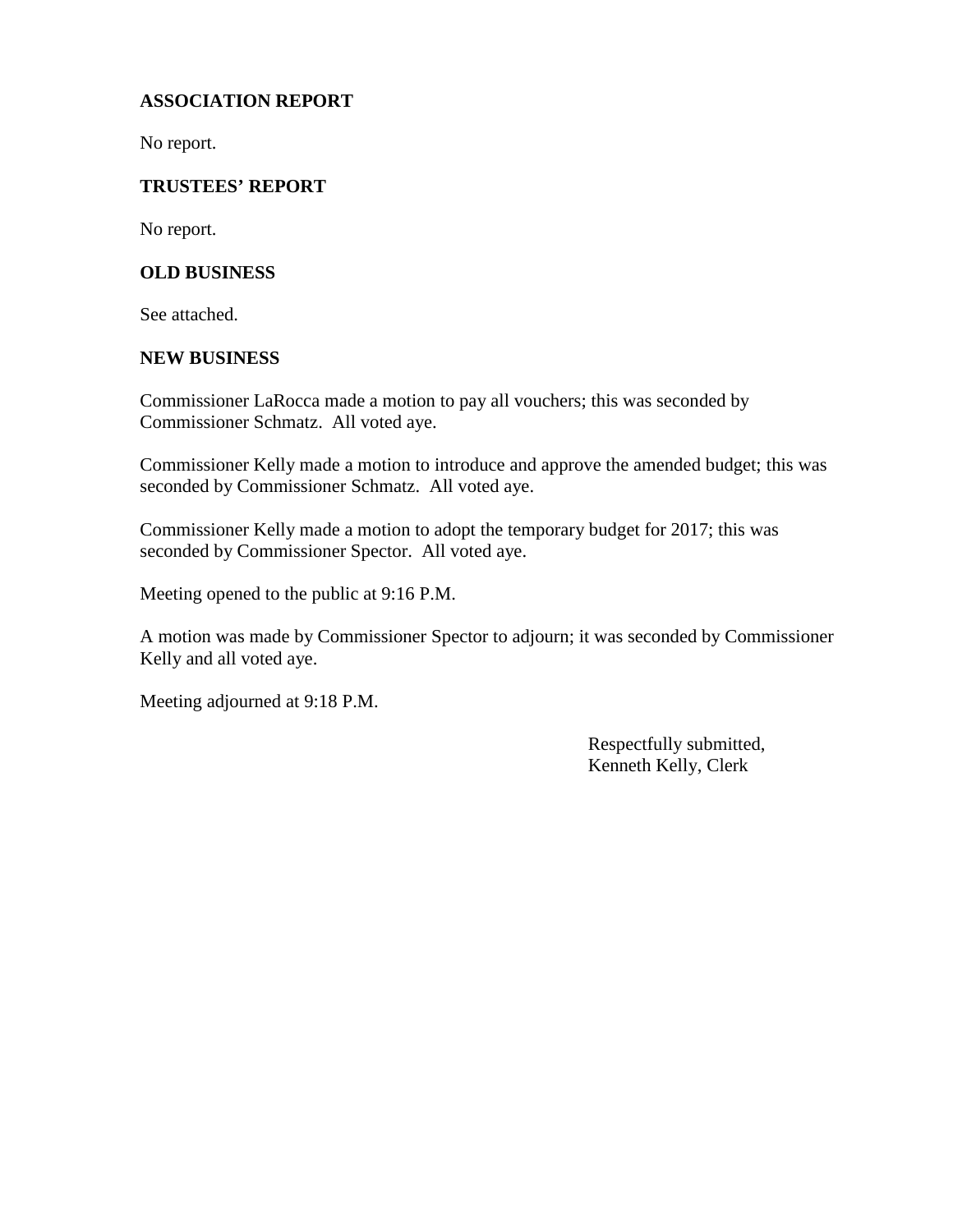# **ASSOCIATION REPORT**

No report.

# **TRUSTEES' REPORT**

No report.

# **OLD BUSINESS**

See attached.

#### **NEW BUSINESS**

Commissioner LaRocca made a motion to pay all vouchers; this was seconded by Commissioner Schmatz. All voted aye.

Commissioner Kelly made a motion to introduce and approve the amended budget; this was seconded by Commissioner Schmatz. All voted aye.

Commissioner Kelly made a motion to adopt the temporary budget for 2017; this was seconded by Commissioner Spector. All voted aye.

Meeting opened to the public at 9:16 P.M.

A motion was made by Commissioner Spector to adjourn; it was seconded by Commissioner Kelly and all voted aye.

Meeting adjourned at 9:18 P.M.

Respectfully submitted, Kenneth Kelly, Clerk